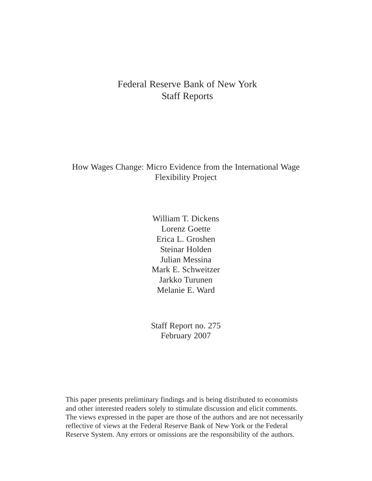# Federal Reserve Bank of New York Staff Reports

How Wages Change: Micro Evidence from the International Wage Flexibility Project

> William T. Dickens Lorenz Goette Erica L. Groshen Steinar Holden Julian Messina Mark E. Schweitzer Jarkko Turunen Melanie E. Ward

> Staff Report no. 275 February 2007

This paper presents preliminary findings and is being distributed to economists and other interested readers solely to stimulate discussion and elicit comments. The views expressed in the paper are those of the authors and are not necessarily reflective of views at the Federal Reserve Bank of New York or the Federal Reserve System. Any errors or omissions are the responsibility of the authors.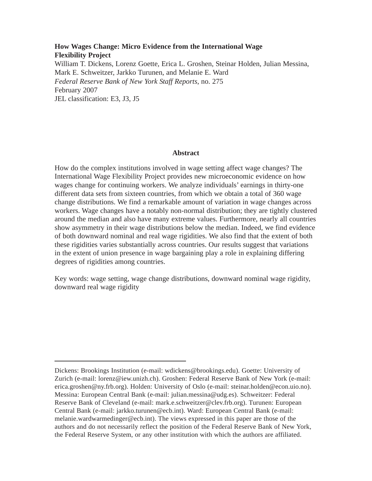## **How Wages Change: Micro Evidence from the International Wage Flexibility Project**  William T. Dickens, Lorenz Goette, Erica L. Groshen, Steinar Holden, Julian Messina, Mark E. Schweitzer, Jarkko Turunen, and Melanie E. Ward *Federal Reserve Bank of New York Staff Reports*, no. 275 February 2007 JEL classification: E3, J3, J5

#### **Abstract**

How do the complex institutions involved in wage setting affect wage changes? The International Wage Flexibility Project provides new microeconomic evidence on how wages change for continuing workers. We analyze individuals' earnings in thirty-one different data sets from sixteen countries, from which we obtain a total of 360 wage change distributions. We find a remarkable amount of variation in wage changes across workers. Wage changes have a notably non-normal distribution; they are tightly clustered around the median and also have many extreme values. Furthermore, nearly all countries show asymmetry in their wage distributions below the median. Indeed, we find evidence of both downward nominal and real wage rigidities. We also find that the extent of both these rigidities varies substantially across countries. Our results suggest that variations in the extent of union presence in wage bargaining play a role in explaining differing degrees of rigidities among countries.

Key words: wage setting, wage change distributions, downward nominal wage rigidity, downward real wage rigidity

Dickens: Brookings Institution (e-mail: wdickens@brookings.edu). Goette: University of Zurich (e-mail: lorenz@iew.unizh.ch). Groshen: Federal Reserve Bank of New York (e-mail: erica.groshen@ny.frb.org). Holden: University of Oslo (e-mail: steinar.holden@econ.uio.no). Messina: European Central Bank (e-mail: julian.messina@udg.es). Schweitzer: Federal Reserve Bank of Cleveland (e-mail: mark.e.schweitzer@clev.frb.org). Turunen: European Central Bank (e-mail: jarkko.turunen@ecb.int). Ward: European Central Bank (e-mail: melanie.wardwarmedinger@ecb.int). The views expressed in this paper are those of the authors and do not necessarily reflect the position of the Federal Reserve Bank of New York, the Federal Reserve System, or any other institution with which the authors are affiliated.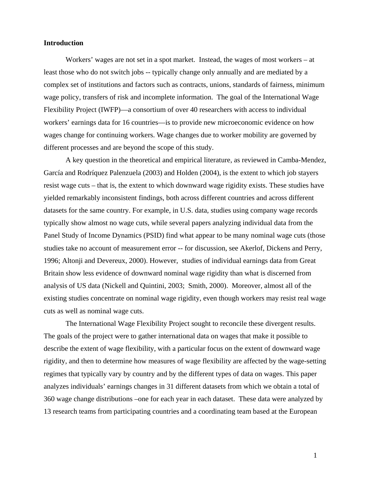## **Introduction**

Workers' wages are not set in a spot market. Instead, the wages of most workers – at least those who do not switch jobs -- typically change only annually and are mediated by a complex set of institutions and factors such as contracts, unions, standards of fairness, minimum wage policy, transfers of risk and incomplete information. The goal of the International Wage Flexibility Project (IWFP)—a consortium of over 40 researchers with access to individual workers' earnings data for 16 countries—is to provide new microeconomic evidence on how wages change for continuing workers. Wage changes due to worker mobility are governed by different processes and are beyond the scope of this study.

A key question in the theoretical and empirical literature, as reviewed in Camba-Mendez, García and Rodríquez Palenzuela (2003) and Holden (2004), is the extent to which job stayers resist wage cuts – that is, the extent to which downward wage rigidity exists. These studies have yielded remarkably inconsistent findings, both across different countries and across different datasets for the same country. For example, in U.S. data, studies using company wage records typically show almost no wage cuts, while several papers analyzing individual data from the Panel Study of Income Dynamics (PSID) find what appear to be many nominal wage cuts (those studies take no account of measurement error -- for discussion, see Akerlof, Dickens and Perry, 1996; Altonji and Devereux, 2000). However, studies of individual earnings data from Great Britain show less evidence of downward nominal wage rigidity than what is discerned from analysis of US data (Nickell and Quintini, 2003; Smith, 2000). Moreover, almost all of the existing studies concentrate on nominal wage rigidity, even though workers may resist real wage cuts as well as nominal wage cuts.

The International Wage Flexibility Project sought to reconcile these divergent results. The goals of the project were to gather international data on wages that make it possible to describe the extent of wage flexibility, with a particular focus on the extent of downward wage rigidity, and then to determine how measures of wage flexibility are affected by the wage-setting regimes that typically vary by country and by the different types of data on wages. This paper analyzes individuals' earnings changes in 31 different datasets from which we obtain a total of 360 wage change distributions –one for each year in each dataset. These data were analyzed by 13 research teams from participating countries and a coordinating team based at the European

1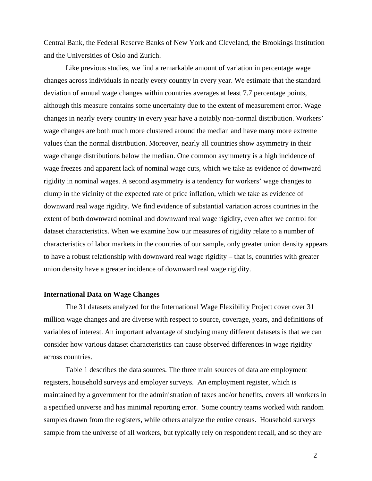Central Bank, the Federal Reserve Banks of New York and Cleveland, the Brookings Institution and the Universities of Oslo and Zurich.

Like previous studies, we find a remarkable amount of variation in percentage wage changes across individuals in nearly every country in every year. We estimate that the standard deviation of annual wage changes within countries averages at least 7.7 percentage points, although this measure contains some uncertainty due to the extent of measurement error. Wage changes in nearly every country in every year have a notably non-normal distribution. Workers' wage changes are both much more clustered around the median and have many more extreme values than the normal distribution. Moreover, nearly all countries show asymmetry in their wage change distributions below the median. One common asymmetry is a high incidence of wage freezes and apparent lack of nominal wage cuts, which we take as evidence of downward rigidity in nominal wages. A second asymmetry is a tendency for workers' wage changes to clump in the vicinity of the expected rate of price inflation, which we take as evidence of downward real wage rigidity. We find evidence of substantial variation across countries in the extent of both downward nominal and downward real wage rigidity, even after we control for dataset characteristics. When we examine how our measures of rigidity relate to a number of characteristics of labor markets in the countries of our sample, only greater union density appears to have a robust relationship with downward real wage rigidity – that is, countries with greater union density have a greater incidence of downward real wage rigidity.

#### **International Data on Wage Changes**

The 31 datasets analyzed for the International Wage Flexibility Project cover over 31 million wage changes and are diverse with respect to source, coverage, years, and definitions of variables of interest. An important advantage of studying many different datasets is that we can consider how various dataset characteristics can cause observed differences in wage rigidity across countries.

Table 1 describes the data sources. The three main sources of data are employment registers, household surveys and employer surveys. An employment register, which is maintained by a government for the administration of taxes and/or benefits, covers all workers in a specified universe and has minimal reporting error. Some country teams worked with random samples drawn from the registers, while others analyze the entire census. Household surveys sample from the universe of all workers, but typically rely on respondent recall, and so they are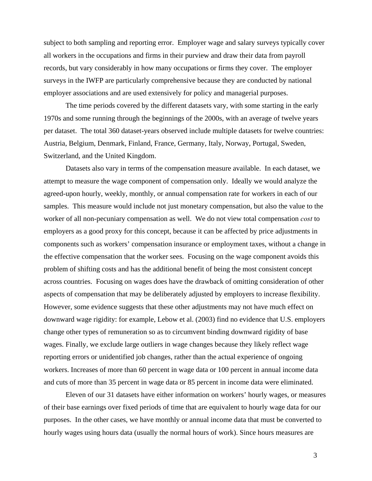subject to both sampling and reporting error. Employer wage and salary surveys typically cover all workers in the occupations and firms in their purview and draw their data from payroll records, but vary considerably in how many occupations or firms they cover. The employer surveys in the IWFP are particularly comprehensive because they are conducted by national employer associations and are used extensively for policy and managerial purposes.

The time periods covered by the different datasets vary, with some starting in the early 1970s and some running through the beginnings of the 2000s, with an average of twelve years per dataset. The total 360 dataset-years observed include multiple datasets for twelve countries: Austria, Belgium, Denmark, Finland, France, Germany, Italy, Norway, Portugal, Sweden, Switzerland, and the United Kingdom.

Datasets also vary in terms of the compensation measure available. In each dataset, we attempt to measure the wage component of compensation only. Ideally we would analyze the agreed-upon hourly, weekly, monthly, or annual compensation rate for workers in each of our samples. This measure would include not just monetary compensation, but also the value to the worker of all non-pecuniary compensation as well. We do not view total compensation *cost* to employers as a good proxy for this concept, because it can be affected by price adjustments in components such as workers' compensation insurance or employment taxes, without a change in the effective compensation that the worker sees. Focusing on the wage component avoids this problem of shifting costs and has the additional benefit of being the most consistent concept across countries. Focusing on wages does have the drawback of omitting consideration of other aspects of compensation that may be deliberately adjusted by employers to increase flexibility. However, some evidence suggests that these other adjustments may not have much effect on downward wage rigidity: for example, Lebow et al. (2003) find no evidence that U.S. employers change other types of remuneration so as to circumvent binding downward rigidity of base wages. Finally, we exclude large outliers in wage changes because they likely reflect wage reporting errors or unidentified job changes, rather than the actual experience of ongoing workers. Increases of more than 60 percent in wage data or 100 percent in annual income data and cuts of more than 35 percent in wage data or 85 percent in income data were eliminated.

Eleven of our 31 datasets have either information on workers' hourly wages, or measures of their base earnings over fixed periods of time that are equivalent to hourly wage data for our purposes. In the other cases, we have monthly or annual income data that must be converted to hourly wages using hours data (usually the normal hours of work). Since hours measures are

3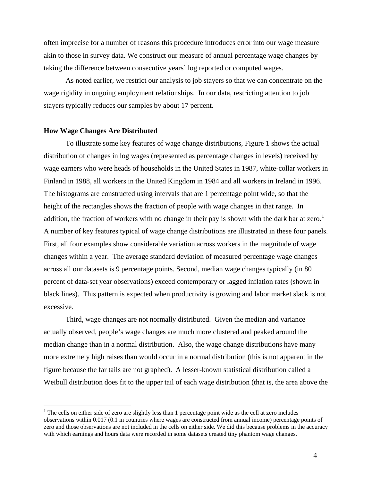<span id="page-5-0"></span>often imprecise for a number of reasons this procedure introduces error into our wage measure akin to those in survey data. We construct our measure of annual percentage wage changes by taking the difference between consecutive years' log reported or computed wages.

As noted earlier, we restrict our analysis to job stayers so that we can concentrate on the wage rigidity in ongoing employment relationships. In our data, restricting attention to job stayers typically reduces our samples by about 17 percent.

#### **How Wage Changes Are Distributed**

<u>.</u>

To illustrate some key features of wage change distributions, Figure 1 shows the actual distribution of changes in log wages (represented as percentage changes in levels) received by wage earners who were heads of households in the United States in 1987, white-collar workers in Finland in 1988, all workers in the United Kingdom in 1984 and all workers in Ireland in 1996. The histograms are constructed using intervals that are 1 percentage point wide, so that the height of the rectangles shows the fraction of people with wage changes in that range. In addition, the fraction of workers with no change in their pay is shown with the dark bar at zero.<sup>[1](#page-5-0)</sup> A number of key features typical of wage change distributions are illustrated in these four panels. First, all four examples show considerable variation across workers in the magnitude of wage changes within a year. The average standard deviation of measured percentage wage changes across all our datasets is 9 percentage points. Second, median wage changes typically (in 80 percent of data-set year observations) exceed contemporary or lagged inflation rates (shown in black lines). This pattern is expected when productivity is growing and labor market slack is not excessive.

Third, wage changes are not normally distributed. Given the median and variance actually observed, people's wage changes are much more clustered and peaked around the median change than in a normal distribution. Also, the wage change distributions have many more extremely high raises than would occur in a normal distribution (this is not apparent in the figure because the far tails are not graphed). A lesser-known statistical distribution called a Weibull distribution does fit to the upper tail of each wage distribution (that is, the area above the

 $<sup>1</sup>$  The cells on either side of zero are slightly less than 1 percentage point wide as the cell at zero includes</sup> observations within 0.017 (0.1 in countries where wages are constructed from annual income) percentage points of zero and those observations are not included in the cells on either side. We did this because problems in the accuracy with which earnings and hours data were recorded in some datasets created tiny phantom wage changes.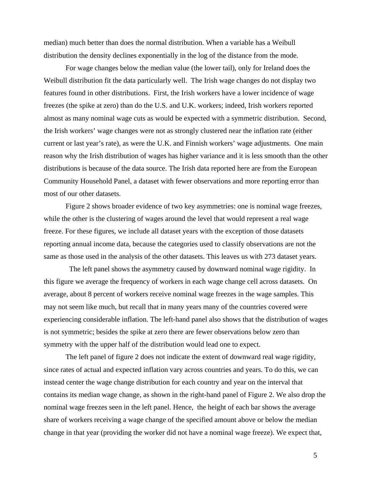median) much better than does the normal distribution. When a variable has a Weibull distribution the density declines exponentially in the log of the distance from the mode.

For wage changes below the median value (the lower tail), only for Ireland does the Weibull distribution fit the data particularly well. The Irish wage changes do not display two features found in other distributions. First, the Irish workers have a lower incidence of wage freezes (the spike at zero) than do the U.S. and U.K. workers; indeed, Irish workers reported almost as many nominal wage cuts as would be expected with a symmetric distribution. Second, the Irish workers' wage changes were not as strongly clustered near the inflation rate (either current or last year's rate), as were the U.K. and Finnish workers' wage adjustments. One main reason why the Irish distribution of wages has higher variance and it is less smooth than the other distributions is because of the data source. The Irish data reported here are from the European Community Household Panel, a dataset with fewer observations and more reporting error than most of our other datasets.

Figure 2 shows broader evidence of two key asymmetries: one is nominal wage freezes, while the other is the clustering of wages around the level that would represent a real wage freeze. For these figures, we include all dataset years with the exception of those datasets reporting annual income data, because the categories used to classify observations are not the same as those used in the analysis of the other datasets. This leaves us with 273 dataset years.

 The left panel shows the asymmetry caused by downward nominal wage rigidity. In this figure we average the frequency of workers in each wage change cell across datasets. On average, about 8 percent of workers receive nominal wage freezes in the wage samples. This may not seem like much, but recall that in many years many of the countries covered were experiencing considerable inflation. The left-hand panel also shows that the distribution of wages is not symmetric; besides the spike at zero there are fewer observations below zero than symmetry with the upper half of the distribution would lead one to expect.

The left panel of figure 2 does not indicate the extent of downward real wage rigidity, since rates of actual and expected inflation vary across countries and years. To do this, we can instead center the wage change distribution for each country and year on the interval that contains its median wage change, as shown in the right-hand panel of Figure 2. We also drop the nominal wage freezes seen in the left panel. Hence, the height of each bar shows the average share of workers receiving a wage change of the specified amount above or below the median change in that year (providing the worker did not have a nominal wage freeze). We expect that,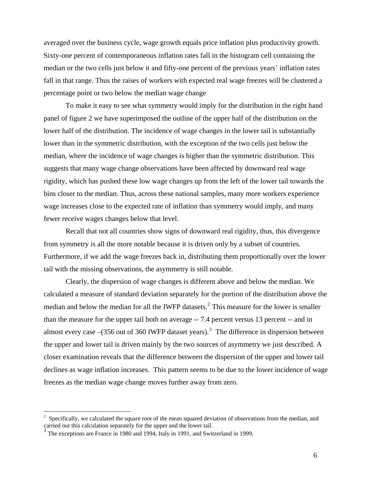<span id="page-7-0"></span>averaged over the business cycle, wage growth equals price inflation plus productivity growth. Sixty-one percent of contemporaneous inflation rates fall in the histogram cell containing the median or the two cells just below it and fifty-one percent of the previous years' inflation rates fall in that range. Thus the raises of workers with expected real wage freezes will be clustered a percentage point or two below the median wage change

To make it easy to see what symmetry would imply for the distribution in the right hand panel of figure 2 we have superimposed the outline of the upper half of the distribution on the lower half of the distribution. The incidence of wage changes in the lower tail is substantially lower than in the symmetric distribution, with the exception of the two cells just below the median, where the incidence of wage changes is higher than the symmetric distribution. This suggests that many wage change observations have been affected by downward real wage rigidity, which has pushed these low wage changes up from the left of the lower tail towards the bins closer to the median. Thus, across these national samples, many more workers experience wage increases close to the expected rate of inflation than symmetry would imply, and many fewer receive wages changes below that level.

Recall that not all countries show signs of downward real rigidity, thus, this divergence from symmetry is all the more notable because it is driven only by a subset of countries. Furthermore, if we add the wage freezes back in, distributing them proportionally over the lower tail with the missing observations, the asymmetry is still notable.

Clearly, the dispersion of wage changes is different above and below the median. We calculated a measure of standard deviation separately for the portion of the distribution above the median and below the median for all the IWFP datasets.<sup>[2](#page-7-0)</sup> This measure for the lower is smaller than the measure for the upper tail both on average -- 7.4 percent versus 13 percent -- and in almost every case  $-(356 \text{ out of } 360 \text{ IWFP}$  $-(356 \text{ out of } 360 \text{ IWFP}$  $-(356 \text{ out of } 360 \text{ IWFP}$  dataset years).<sup>3</sup> The difference in dispersion between the upper and lower tail is driven mainly by the two sources of asymmetry we just described. A closer examination reveals that the difference between the dispersion of the upper and lower tail declines as wage inflation increases. This pattern seems to be due to the lower incidence of wage freezes as the median wage change moves further away from zero.

 $\overline{a}$ 

 $2^2$  Specifically, we calculated the square root of the mean squared deviation of observations from the median, and carried out this calculation separately for the upper and the lower tail.

<sup>&</sup>lt;sup>3</sup> The exceptions are France in 1980 and 1994, Italy in 1991, and Switzerland in 1999.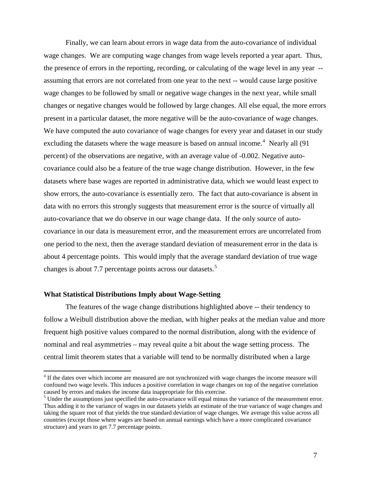<span id="page-8-0"></span>Finally, we can learn about errors in wage data from the auto-covariance of individual wage changes. We are computing wage changes from wage levels reported a year apart. Thus, the presence of errors in the reporting, recording, or calculating of the wage level in any year - assuming that errors are not correlated from one year to the next -- would cause large positive wage changes to be followed by small or negative wage changes in the next year, while small changes or negative changes would be followed by large changes. All else equal, the more errors present in a particular dataset, the more negative will be the auto-covariance of wage changes. We have computed the auto covariance of wage changes for every year and dataset in our study excluding the datasets where the wage measure is based on annual income.<sup>[4](#page-8-0)</sup> Nearly all  $(91)$ percent) of the observations are negative, with an average value of -0.002. Negative autocovariance could also be a feature of the true wage change distribution. However, in the few datasets where base wages are reported in administrative data, which we would least expect to show errors, the auto-covariance is essentially zero. The fact that auto-covariance is absent in data with no errors this strongly suggests that measurement error is the source of virtually all auto-covariance that we do observe in our wage change data. If the only source of autocovariance in our data is measurement error, and the measurement errors are uncorrelated from one period to the next, then the average standard deviation of measurement error in the data is about 4 percentage points. This would imply that the average standard deviation of true wage changes is about 7.7 percentage points across our datasets.<sup>[5](#page-8-0)</sup>

#### **What Statistical Distributions Imply about Wage-Setting**

 $\overline{a}$ 

The features of the wage change distributions highlighted above -- their tendency to follow a Weibull distribution above the median, with higher peaks at the median value and more frequent high positive values compared to the normal distribution, along with the evidence of nominal and real asymmetries – may reveal quite a bit about the wage setting process. The central limit theorem states that a variable will tend to be normally distributed when a large

<sup>&</sup>lt;sup>4</sup> If the dates over which income are measured are not synchronized with wage changes the income measure will confound two wage levels. This induces a positive correlation in wage changes on top of the negative correlation caused by errors and makes the income data inappropriate for this exercise.

<sup>&</sup>lt;sup>5</sup> Under the assumptions just specified the auto-covariance will equal minus the variance of the measurement error. Thus adding it to the variance of wages in our datasets yields an estimate of the true variance of wage changes and taking the square root of that yields the true standard deviation of wage changes. We average this value across all countries (except those where wages are based on annual earnings which have a more complicated covariance structure) and years to get 7.7 percentage points.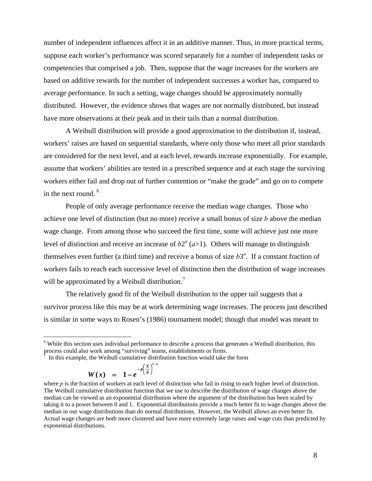<span id="page-9-0"></span>number of independent influences affect it in an additive manner. Thus, in more practical terms, suppose each worker's performance was scored separately for a number of independent tasks or competencies that comprised a job. Then, suppose that the wage increases for the workers are based on additive rewards for the number of independent successes a worker has, compared to average performance. In such a setting, wage changes should be approximately normally distributed. However, the evidence shows that wages are not normally distributed, but instead have more observations at their peak and in their tails than a normal distribution.

A Weibull distribution will provide a good approximation to the distribution if, instead, workers' raises are based on sequential standards, where only those who meet all prior standards are considered for the next level, and at each level, rewards increase exponentially. For example, assume that workers' abilities are tested in a prescribed sequence and at each stage the surviving workers either fail and drop out of further contention or "make the grade" and go on to compete in the next round. <sup>[6](#page-9-0)</sup>

People of only average performance receive the median wage changes. Those who achieve one level of distinction (but no more) receive a small bonus of size *b* above the median wage change. From among those who succeed the first time, some will achieve just one more level of distinction and receive an increase of  $b2^a$  ( $a>1$ ). Others will manage to distinguish themselves even further (a third time) and receive a bonus of size  $b3^a$ . If a constant fraction of workers fails to reach each successive level of distinction then the distribution of wage increases will be approximated by a Weibull distribution.<sup>[7](#page-9-0)</sup>

The relatively good fit of the Weibull distribution to the upper tail suggests that a survivor process like this may be at work determining wage increases. The process just described is similar in some ways to Rosen's (1986) tournament model; though that model was meant to

 $\bar{7}$  In this example, the Weibull cumulative distribution function would take the form *a*

$$
W(x) = 1 - e^{-p\left(\frac{x}{b}\right)^{1/2}}
$$

 $\overline{a}$ 

<sup>&</sup>lt;sup>6</sup> While this section uses individual performance to describe a process that generates a Weibull distribution, this process could also work among "surviving" teams, establishments or firms.

where *p* is the fraction of workers at each level of distinction who fail in rising to each higher level of distinction. The Weibull cumulative distribution function that we use to describe the distribution of wage changes above the median can be viewed as an exponential distribution where the argument of the distribution has been scaled by taking it to a power between 0 and 1. Exponential distributions provide a much better fit to wage changes above the median in our wage distributions than do normal distributions. However, the Weibull allows an even better fit. Actual wage changes are both more clustered and have more extremely large raises and wage cuts than predicted by exponential distributions.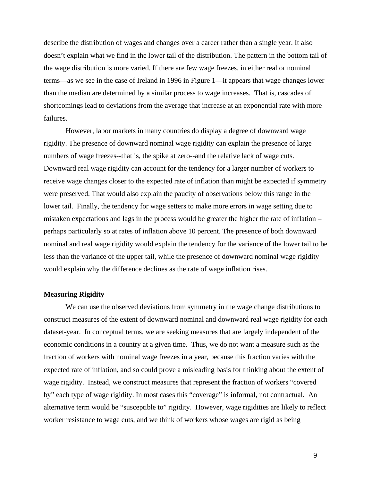describe the distribution of wages and changes over a career rather than a single year. It also doesn't explain what we find in the lower tail of the distribution. The pattern in the bottom tail of the wage distribution is more varied. If there are few wage freezes, in either real or nominal terms—as we see in the case of Ireland in 1996 in Figure 1—it appears that wage changes lower than the median are determined by a similar process to wage increases. That is, cascades of shortcomings lead to deviations from the average that increase at an exponential rate with more failures.

However, labor markets in many countries do display a degree of downward wage rigidity. The presence of downward nominal wage rigidity can explain the presence of large numbers of wage freezes--that is, the spike at zero--and the relative lack of wage cuts. Downward real wage rigidity can account for the tendency for a larger number of workers to receive wage changes closer to the expected rate of inflation than might be expected if symmetry were preserved. That would also explain the paucity of observations below this range in the lower tail. Finally, the tendency for wage setters to make more errors in wage setting due to mistaken expectations and lags in the process would be greater the higher the rate of inflation – perhaps particularly so at rates of inflation above 10 percent. The presence of both downward nominal and real wage rigidity would explain the tendency for the variance of the lower tail to be less than the variance of the upper tail, while the presence of downward nominal wage rigidity would explain why the difference declines as the rate of wage inflation rises.

## **Measuring Rigidity**

We can use the observed deviations from symmetry in the wage change distributions to construct measures of the extent of downward nominal and downward real wage rigidity for each dataset-year. In conceptual terms, we are seeking measures that are largely independent of the economic conditions in a country at a given time. Thus, we do not want a measure such as the fraction of workers with nominal wage freezes in a year, because this fraction varies with the expected rate of inflation, and so could prove a misleading basis for thinking about the extent of wage rigidity. Instead, we construct measures that represent the fraction of workers "covered by" each type of wage rigidity. In most cases this "coverage" is informal, not contractual. An alternative term would be "susceptible to" rigidity. However, wage rigidities are likely to reflect worker resistance to wage cuts, and we think of workers whose wages are rigid as being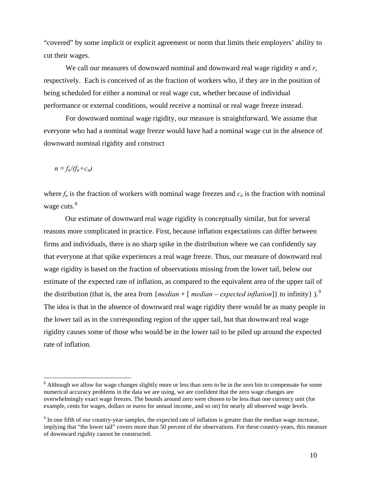<span id="page-11-0"></span>"covered" by some implicit or explicit agreement or norm that limits their employers' ability to cut their wages.

We call our measures of downward nominal and downward real wage rigidity *n* and *r*, respectively. Each is conceived of as the fraction of workers who, if they are in the position of being scheduled for either a nominal or real wage cut, whether because of individual performance or external conditions, would receive a nominal or real wage freeze instead.

For downward nominal wage rigidity, our measure is straightforward. We assume that everyone who had a nominal wage freeze would have had a nominal wage cut in the absence of downward nominal rigidity and construct

 $n = f_n/(f_n + c_n)$ 

 $\overline{a}$ 

where  $f_n$  is the fraction of workers with nominal wage freezes and  $c_n$  is the fraction with nominal wage cuts.<sup>[8](#page-11-0)</sup>

Our estimate of downward real wage rigidity is conceptually similar, but for several reasons more complicated in practice. First, because inflation expectations can differ between firms and individuals, there is no sharp spike in the distribution where we can confidently say that everyone at that spike experiences a real wage freeze. Thus, our measure of downward real wage rigidity is based on the fraction of observations missing from the lower tail, below our estimate of the expected rate of inflation, as compared to the equivalent area of the upper tail of the distribution (that is, the area from {*median* + [*median* – *expected inflation*]} to infinity}.<sup>[9](#page-11-0)</sup> The idea is that in the absence of downward real wage rigidity there would be as many people in the lower tail as in the corresponding region of the upper tail, but that downward real wage rigidity causes some of those who would be in the lower tail to be piled up around the expected rate of inflation.

<sup>&</sup>lt;sup>8</sup> Although we allow for wage changes slightly more or less than zero to be in the zero bin to compensate for some numerical accuracy problems in the data we are using, we are confident that the zero wage changes are overwhelmingly exact wage freezes. The bounds around zero were chosen to be less than one currency unit (for example, cents for wages, dollars or euros for annual income, and so on) for nearly all observed wage levels.

 $9<sup>9</sup>$  In one fifth of our country-year samples, the expected rate of inflation is greater than the median wage increase, implying that "the lower tail" covers more than 50 percent of the observations. For these country-years, this measure of downward rigidity cannot be constructed.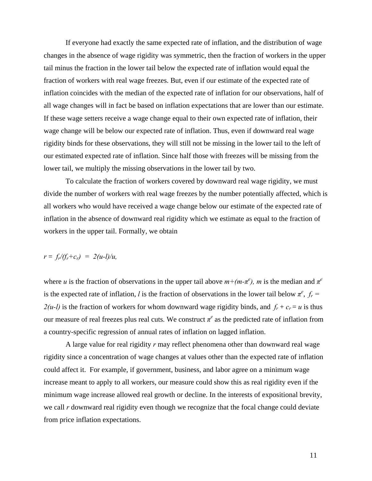If everyone had exactly the same expected rate of inflation, and the distribution of wage changes in the absence of wage rigidity was symmetric, then the fraction of workers in the upper tail minus the fraction in the lower tail below the expected rate of inflation would equal the fraction of workers with real wage freezes. But, even if our estimate of the expected rate of inflation coincides with the median of the expected rate of inflation for our observations, half of all wage changes will in fact be based on inflation expectations that are lower than our estimate. If these wage setters receive a wage change equal to their own expected rate of inflation, their wage change will be below our expected rate of inflation. Thus, even if downward real wage rigidity binds for these observations, they will still not be missing in the lower tail to the left of our estimated expected rate of inflation. Since half those with freezes will be missing from the lower tail, we multiply the missing observations in the lower tail by two.

To calculate the fraction of workers covered by downward real wage rigidity, we must divide the number of workers with real wage freezes by the number potentially affected, which is all workers who would have received a wage change below our estimate of the expected rate of inflation in the absence of downward real rigidity which we estimate as equal to the fraction of workers in the upper tail. Formally, we obtain

$$
r = f_r/(f_r + c_r) = 2(u-1)/u,
$$

where *u* is the fraction of observations in the upper tail above  $m + (m - \pi^e)$ , *m* is the median and  $\pi^e$ is the expected rate of inflation, *l* is the fraction of observations in the lower tail below  $\pi^e$ ,  $f_r$  =  $2(u-l)$  is the fraction of workers for whom downward wage rigidity binds, and  $f_r + c_r = u$  is thus our measure of real freezes plus real cuts. We construct  $\pi^e$  as the predicted rate of inflation from a country-specific regression of annual rates of inflation on lagged inflation.

 A large value for real rigidity *r* may reflect phenomena other than downward real wage rigidity since a concentration of wage changes at values other than the expected rate of inflation could affect it. For example, if government, business, and labor agree on a minimum wage increase meant to apply to all workers, our measure could show this as real rigidity even if the minimum wage increase allowed real growth or decline. In the interests of expositional brevity, we call *r* downward real rigidity even though we recognize that the focal change could deviate from price inflation expectations.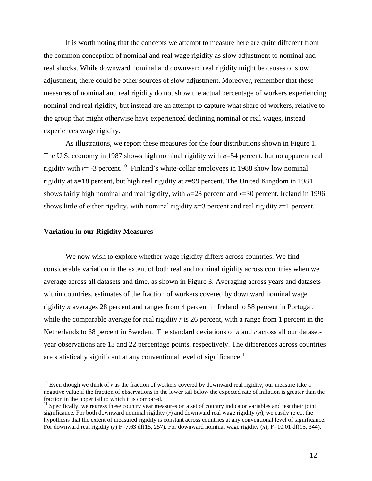<span id="page-13-0"></span> It is worth noting that the concepts we attempt to measure here are quite different from the common conception of nominal and real wage rigidity as slow adjustment to nominal and real shocks. While downward nominal and downward real rigidity might be causes of slow adjustment, there could be other sources of slow adjustment. Moreover, remember that these measures of nominal and real rigidity do not show the actual percentage of workers experiencing nominal and real rigidity, but instead are an attempt to capture what share of workers, relative to the group that might otherwise have experienced declining nominal or real wages, instead experiences wage rigidity.

 As illustrations, we report these measures for the four distributions shown in Figure 1. The U.S. economy in 1987 shows high nominal rigidity with *n*=54 percent, but no apparent real rigidity with  $r = -3$  percent.<sup>[10](#page-13-0)</sup> Finland's white-collar employees in 1988 show low nominal rigidity at *n*=18 percent, but high real rigidity at *r*=99 percent. The United Kingdom in 1984 shows fairly high nominal and real rigidity, with *n*=28 percent and *r*=30 percent. Ireland in 1996 shows little of either rigidity, with nominal rigidity *n*=3 percent and real rigidity *r*=1 percent.

### **Variation in our Rigidity Measures**

 $\overline{a}$ 

We now wish to explore whether wage rigidity differs across countries. We find considerable variation in the extent of both real and nominal rigidity across countries when we average across all datasets and time, as shown in Figure 3. Averaging across years and datasets within countries, estimates of the fraction of workers covered by downward nominal wage rigidity *n* averages 28 percent and ranges from 4 percent in Ireland to 58 percent in Portugal, while the comparable average for real rigidity *r* is 26 percent, with a range from 1 percent in the Netherlands to 68 percent in Sweden. The standard deviations of *n* and *r* across all our datasetyear observations are 13 and 22 percentage points, respectively. The differences across countries are statistically significant at any conventional level of significance.<sup>[11](#page-13-0)</sup>

<sup>&</sup>lt;sup>10</sup> Even though we think of  $r$  as the fraction of workers covered by downward real rigidity, our measure take a negative value if the fraction of observations in the lower tail below the expected rate of inflation is greater than the fraction in the upper tail to which it is compared.

 $11$  Specifically, we regress these country year measures on a set of country indicator variables and test their joint significance. For both downward nominal rigidity (*r*) and downward real wage rigidity (*n*), we easily reject the hypothesis that the extent of measured rigidity is constant across countries at any conventional level of significance. For downward real rigidity (*r*) F=7.63 df(15, 257). For downward nominal wage rigidity (*n*), F=10.01 df(15, 344).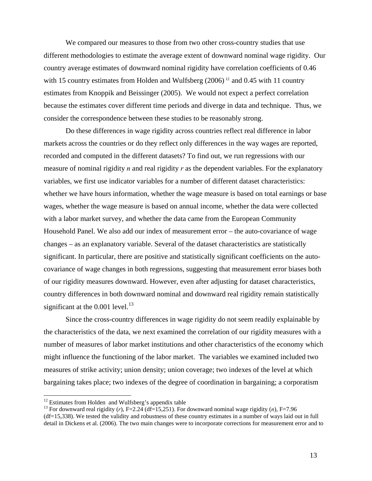<span id="page-14-0"></span>We compared our measures to those from two other cross-country studies that use different methodologies to estimate the average extent of downward nominal wage rigidity. Our country average estimates of downward nominal rigidity have correlation coefficients of 0.46 with 15 country estimates from Holden and Wulfsberg  $(2006)^{12}$  $(2006)^{12}$  $(2006)^{12}$  and 0.45 with 11 country estimates from Knoppik and Beissinger (2005). We would not expect a perfect correlation because the estimates cover different time periods and diverge in data and technique. Thus, we consider the correspondence between these studies to be reasonably strong.

Do these differences in wage rigidity across countries reflect real difference in labor markets across the countries or do they reflect only differences in the way wages are reported, recorded and computed in the different datasets? To find out, we run regressions with our measure of nominal rigidity *n* and real rigidity *r* as the dependent variables. For the explanatory variables, we first use indicator variables for a number of different dataset characteristics: whether we have hours information, whether the wage measure is based on total earnings or base wages, whether the wage measure is based on annual income, whether the data were collected with a labor market survey, and whether the data came from the European Community Household Panel. We also add our index of measurement error – the auto-covariance of wage changes – as an explanatory variable. Several of the dataset characteristics are statistically significant. In particular, there are positive and statistically significant coefficients on the autocovariance of wage changes in both regressions, suggesting that measurement error biases both of our rigidity measures downward. However, even after adjusting for dataset characteristics, country differences in both downward nominal and downward real rigidity remain statistically significant at the  $0.001$  level.<sup>[13](#page-14-0)</sup>

Since the cross-country differences in wage rigidity do not seem readily explainable by the characteristics of the data, we next examined the correlation of our rigidity measures with a number of measures of labor market institutions and other characteristics of the economy which might influence the functioning of the labor market. The variables we examined included two measures of strike activity; union density; union coverage; two indexes of the level at which bargaining takes place; two indexes of the degree of coordination in bargaining; a corporatism

 $\overline{a}$ 

 $12$  Estimates from Holden and Wulfsberg's appendix table

<sup>&</sup>lt;sup>13</sup> For downward real rigidity (*r*), F=2.24 (df=15,251). For downward nominal wage rigidity (*n*), F=7.96

<sup>(</sup>df=15,338). We tested the validity and robustness of these country estimates in a number of ways laid out in full detail in Dickens et al. (2006). The two main changes were to incorporate corrections for measurement error and to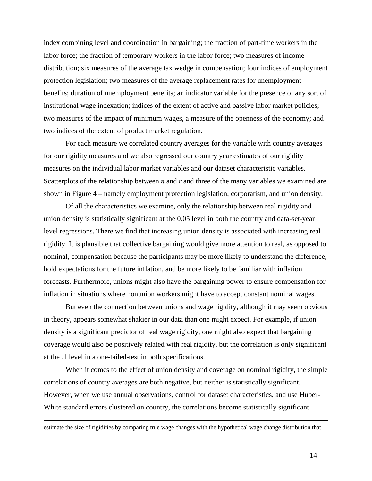index combining level and coordination in bargaining; the fraction of part-time workers in the labor force; the fraction of temporary workers in the labor force; two measures of income distribution; six measures of the average tax wedge in compensation; four indices of employment protection legislation; two measures of the average replacement rates for unemployment benefits; duration of unemployment benefits; an indicator variable for the presence of any sort of institutional wage indexation; indices of the extent of active and passive labor market policies; two measures of the impact of minimum wages, a measure of the openness of the economy; and two indices of the extent of product market regulation.

For each measure we correlated country averages for the variable with country averages for our rigidity measures and we also regressed our country year estimates of our rigidity measures on the individual labor market variables and our dataset characteristic variables. Scatterplots of the relationship between *n* and *r* and three of the many variables we examined are shown in Figure 4 – namely employment protection legislation, corporatism, and union density.

Of all the characteristics we examine, only the relationship between real rigidity and union density is statistically significant at the 0.05 level in both the country and data-set-year level regressions. There we find that increasing union density is associated with increasing real rigidity. It is plausible that collective bargaining would give more attention to real, as opposed to nominal, compensation because the participants may be more likely to understand the difference, hold expectations for the future inflation, and be more likely to be familiar with inflation forecasts. Furthermore, unions might also have the bargaining power to ensure compensation for inflation in situations where nonunion workers might have to accept constant nominal wages.

But even the connection between unions and wage rigidity, although it may seem obvious in theory, appears somewhat shakier in our data than one might expect. For example, if union density is a significant predictor of real wage rigidity, one might also expect that bargaining coverage would also be positively related with real rigidity, but the correlation is only significant at the .1 level in a one-tailed-test in both specifications.

When it comes to the effect of union density and coverage on nominal rigidity, the simple correlations of country averages are both negative, but neither is statistically significant. However, when we use annual observations, control for dataset characteristics, and use Huber-White standard errors clustered on country, the correlations become statistically significant

estimate the size of rigidities by comparing true wage changes with the hypothetical wage change distribution that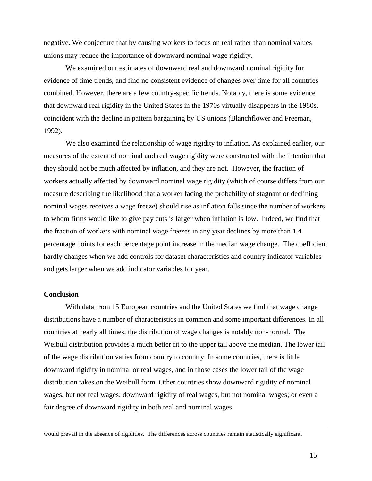negative. We conjecture that by causing workers to focus on real rather than nominal values unions may reduce the importance of downward nominal wage rigidity.

We examined our estimates of downward real and downward nominal rigidity for evidence of time trends, and find no consistent evidence of changes over time for all countries combined. However, there are a few country-specific trends. Notably, there is some evidence that downward real rigidity in the United States in the 1970s virtually disappears in the 1980s, coincident with the decline in pattern bargaining by US unions (Blanchflower and Freeman, 1992).

We also examined the relationship of wage rigidity to inflation. As explained earlier, our measures of the extent of nominal and real wage rigidity were constructed with the intention that they should not be much affected by inflation, and they are not. However, the fraction of workers actually affected by downward nominal wage rigidity (which of course differs from our measure describing the likelihood that a worker facing the probability of stagnant or declining nominal wages receives a wage freeze) should rise as inflation falls since the number of workers to whom firms would like to give pay cuts is larger when inflation is low. Indeed, we find that the fraction of workers with nominal wage freezes in any year declines by more than 1.4 percentage points for each percentage point increase in the median wage change. The coefficient hardly changes when we add controls for dataset characteristics and country indicator variables and gets larger when we add indicator variables for year.

## **Conclusion**

With data from 15 European countries and the United States we find that wage change distributions have a number of characteristics in common and some important differences. In all countries at nearly all times, the distribution of wage changes is notably non-normal. The Weibull distribution provides a much better fit to the upper tail above the median. The lower tail of the wage distribution varies from country to country. In some countries, there is little downward rigidity in nominal or real wages, and in those cases the lower tail of the wage distribution takes on the Weibull form. Other countries show downward rigidity of nominal wages, but not real wages; downward rigidity of real wages, but not nominal wages; or even a fair degree of downward rigidity in both real and nominal wages.

would prevail in the absence of rigidities. The differences across countries remain statistically significant.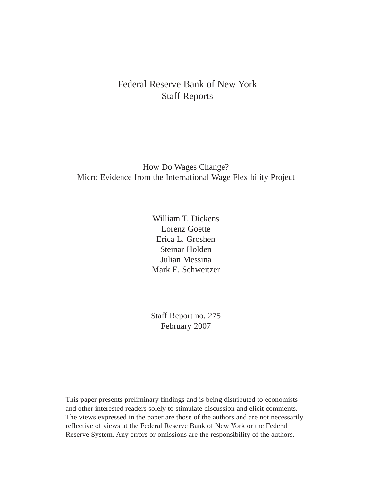# Federal Reserve Bank of New York Staff Reports

## How Do Wages Change? Micro Evidence from the International Wage Flexibility Project

William T. Dickens Lorenz Goette Erica L. Groshen Steinar Holden Julian Messina Mark E. Schweitzer

Staff Report no. 275 February 2007

This paper presents preliminary findings and is being distributed to economists and other interested readers solely to stimulate discussion and elicit comments. The views expressed in the paper are those of the authors and are not necessarily reflective of views at the Federal Reserve Bank of New York or the Federal Reserve System. Any errors or omissions are the responsibility of the authors.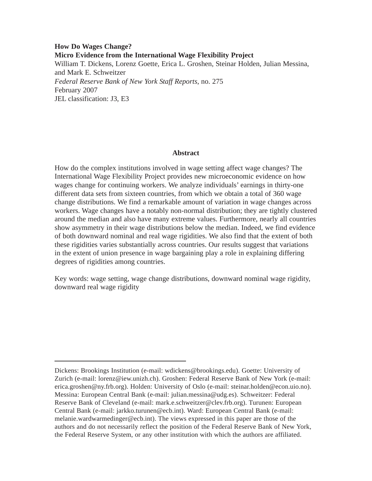## **How Do Wages Change? Micro Evidence from the International Wage Flexibility Project**  William T. Dickens, Lorenz Goette, Erica L. Groshen, Steinar Holden, Julian Messina, and Mark E. Schweitzer *Federal Reserve Bank of New York Staff Reports*, no. 275 February 2007 JEL classification: J3, E3

## **Abstract**

How do the complex institutions involved in wage setting affect wage changes? The International Wage Flexibility Project provides new microeconomic evidence on how wages change for continuing workers. We analyze individuals' earnings in thirty-one different data sets from sixteen countries, from which we obtain a total of 360 wage change distributions. We find a remarkable amount of variation in wage changes across workers. Wage changes have a notably non-normal distribution; they are tightly clustered around the median and also have many extreme values. Furthermore, nearly all countries show asymmetry in their wage distributions below the median. Indeed, we find evidence of both downward nominal and real wage rigidities. We also find that the extent of both these rigidities varies substantially across countries. Our results suggest that variations in the extent of union presence in wage bargaining play a role in explaining differing degrees of rigidities among countries.

Key words: wage setting, wage change distributions, downward nominal wage rigidity, downward real wage rigidity

Dickens: Brookings Institution (e-mail: wdickens@brookings.edu). Goette: University of Zurich (e-mail: lorenz@iew.unizh.ch). Groshen: Federal Reserve Bank of New York (e-mail: erica.groshen@ny.frb.org). Holden: University of Oslo (e-mail: steinar.holden@econ.uio.no). Messina: European Central Bank (e-mail: julian.messina@udg.es). Schweitzer: Federal Reserve Bank of Cleveland (e-mail: mark.e.schweitzer@clev.frb.org). Turunen: European Central Bank (e-mail: jarkko.turunen@ecb.int). Ward: European Central Bank (e-mail: melanie.wardwarmedinger@ecb.int). The views expressed in this paper are those of the authors and do not necessarily reflect the position of the Federal Reserve Bank of New York, the Federal Reserve System, or any other institution with which the authors are affiliated.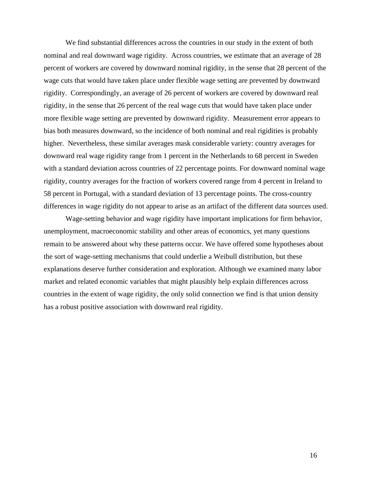We find substantial differences across the countries in our study in the extent of both nominal and real downward wage rigidity. Across countries, we estimate that an average of 28 percent of workers are covered by downward nominal rigidity, in the sense that 28 percent of the wage cuts that would have taken place under flexible wage setting are prevented by downward rigidity. Correspondingly, an average of 26 percent of workers are covered by downward real rigidity, in the sense that 26 percent of the real wage cuts that would have taken place under more flexible wage setting are prevented by downward rigidity. Measurement error appears to bias both measures downward, so the incidence of both nominal and real rigidities is probably higher. Nevertheless, these similar averages mask considerable variety: country averages for downward real wage rigidity range from 1 percent in the Netherlands to 68 percent in Sweden with a standard deviation across countries of 22 percentage points. For downward nominal wage rigidity, country averages for the fraction of workers covered range from 4 percent in Ireland to 58 percent in Portugal, with a standard deviation of 13 percentage points. The cross-country differences in wage rigidity do not appear to arise as an artifact of the different data sources used.

 Wage-setting behavior and wage rigidity have important implications for firm behavior, unemployment, macroeconomic stability and other areas of economics, yet many questions remain to be answered about why these patterns occur. We have offered some hypotheses about the sort of wage-setting mechanisms that could underlie a Weibull distribution, but these explanations deserve further consideration and exploration. Although we examined many labor market and related economic variables that might plausibly help explain differences across countries in the extent of wage rigidity, the only solid connection we find is that union density has a robust positive association with downward real rigidity.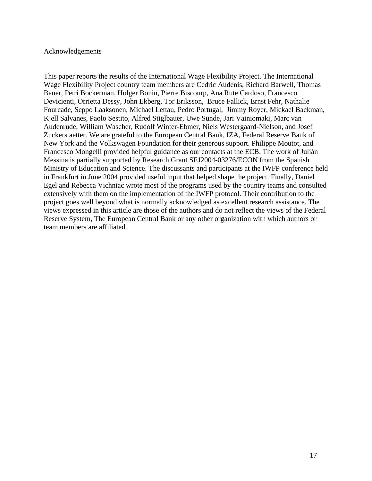## Acknowledgements

This paper reports the results of the International Wage Flexibility Project. The International Wage Flexibility Project country team members are Cedric Audenis, Richard Barwell, Thomas Bauer, Petri Bockerman, Holger Bonin, Pierre Biscourp, Ana Rute Cardoso, Francesco Devicienti, Orrietta Dessy, John Ekberg, Tor Eriksson, Bruce Fallick, Ernst Fehr, Nathalie Fourcade, Seppo Laaksonen, Michael Lettau, Pedro Portugal, Jimmy Royer, Mickael Backman, Kjell Salvanes, Paolo Sestito, Alfred Stiglbauer, Uwe Sunde, Jari Vainiomaki, Marc van Audenrude, William Wascher, Rudolf Winter-Ebmer, Niels Westergaard-Nielson, and Josef Zuckerstaetter. We are grateful to the European Central Bank, IZA, Federal Reserve Bank of New York and the Volkswagen Foundation for their generous support. Philippe Moutot, and Francesco Mongelli provided helpful guidance as our contacts at the ECB. The work of Julián Messina is partially supported by Research Grant SEJ2004-03276/ECON from the Spanish Ministry of Education and Science. The discussants and participants at the IWFP conference held in Frankfurt in June 2004 provided useful input that helped shape the project. Finally, Daniel Egel and Rebecca Vichniac wrote most of the programs used by the country teams and consulted extensively with them on the implementation of the IWFP protocol. Their contribution to the project goes well beyond what is normally acknowledged as excellent research assistance. The views expressed in this article are those of the authors and do not reflect the views of the Federal Reserve System, The European Central Bank or any other organization with which authors or team members are affiliated.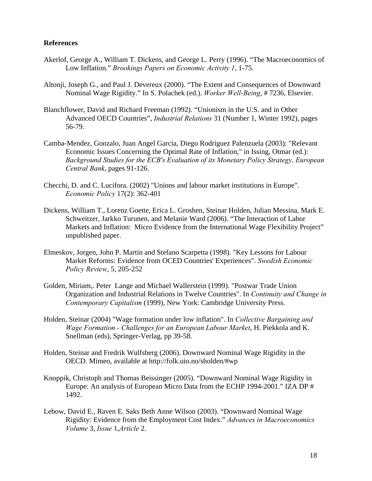## **References**

- Akerlof, George A., William T. Dickens, and George L. Perry (1996). "The Macroeconomics of Low Inflation." *Brookings Papers on Economic Activity 1*, 1-75.
- Altonji, Joseph G., and Paul J. Devereux (2000). "The Extent and Consequences of Downward Nominal Wage Rigidity." In S. Polachek (ed.). *Worker Well-Being*, # 7236, Elsevier.
- Blanchflower, David and Richard Freeman (1992). "Unionism in the U.S. and in Other Advanced OECD Countries", *Industrial Relations* 31 (Number 1, Winter 1992), pages 56-79.
- Camba-Mendez, Gonzalo, Juan Angel Garcia, Diego Rodriguez Palenzuela (2003): "Relevant Economic Issues Concerning the Optimal Rate of Inflation," in Issing, Otmar (ed.): *Background Studies for the ECB's Evaluation of its Monetary Policy Strategy, European Central Bank*, pages 91-126.
- Checchi, D. and C. Lucifora. (2002) "Unions and labour market institutions in Europe". *Economic Policy* 17(2): 362-401
- Dickens, William T., Lorenz Goette, Erica L. Groshen, Steinar Holden, Julian Messina, Mark E. Schweitzer, Jarkko Turunen, and Melanie Ward (2006). "The Interaction of Labor Markets and Inflation: Micro Evidence from the International Wage Flexibility Project" unpublished paper.
- Elmeskov, Jorgen, John P. Martin and Stefano Scarpetta (1998). "Key Lessons for Labour Market Reforms: Evidence from OCED Countries' Experiences". *Swedish Economic Policy Review*, 5, 205-252
- Golden, Miriam,. Peter Lange and Michael Wallerstein (1999). "Postwar Trade Union Organization and Industrial Relations in Twelve Countries". In *Continuity and Change in Contemporary Capitalism* (1999), New York: Cambridge University Press.
- Holden, Steinar (2004) "Wage formation under low inflation". In *Collective Bargaining and Wage Formation - Challenges for an European Labour Market*, H. Piekkola and K. Snellman (eds), Springer-Verlag, pp 39-58.
- Holden, Steinar and Fredrik Wulfsberg (2006). Downward Nominal Wage Rigidity in the OECD. Mimeo, available at http://folk.uio.no/sholden/#wp
- Knoppik, Christoph and Thomas Beissinger (2005). "Downward Nominal Wage Rigidity in Europe: An analysis of European Micro Data from the ECHP 1994-2001." IZA DP # 1492.
- Lebow, David E., Raven E. Saks Beth Anne Wilson (2003). "Downward Nominal Wage Rigidity: Evidence from the Employment Cost Index." *Advances in Macroeconomics Volume* 3, *Issue* 1,*Article* 2.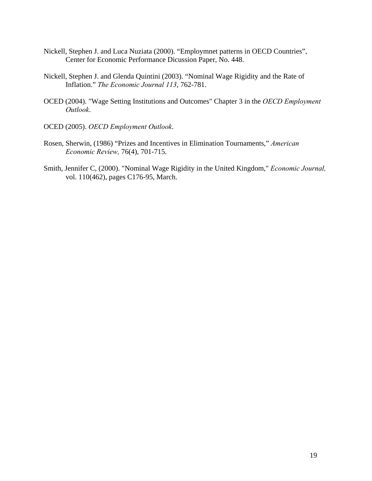- Nickell, Stephen J. and Luca Nuziata (2000). "Employmnet patterns in OECD Countries", Center for Economic Performance Dicussion Paper, No. 448.
- Nickell, Stephen J. and Glenda Quintini (2003). "Nominal Wage Rigidity and the Rate of Inflation." *The Economic Journal 113*, 762-781.
- OCED (2004). "Wage Setting Institutions and Outcomes" Chapter 3 in the *OECD Employment Outlook*.
- OCED (2005). *OECD Employment Outlook*.
- Rosen, Sherwin, (1986) "Prizes and Incentives in Elimination Tournaments," *American Economic Review,* 76(4), 701-715.
- Smith, Jennifer C, (2000). "Nominal Wage Rigidity in the United Kingdom," *Economic Journal,*  vol. 110(462), pages C176-95, March.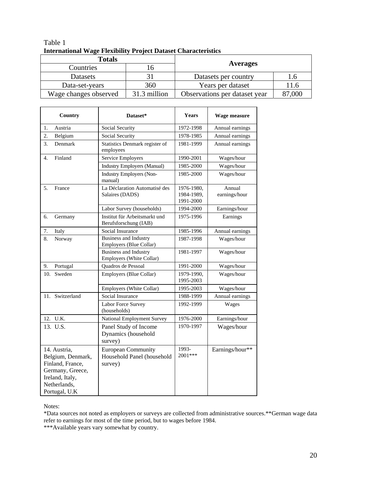## Table 1 **International Wage Flexibility Project Dataset Characteristics**

| <b>Totals</b>         |              | <b>Averages</b>               |           |
|-----------------------|--------------|-------------------------------|-----------|
| Countries             |              |                               |           |
| <b>Datasets</b>       |              | Datasets per country          | $\cdot$ 0 |
| Data-set-years        | 360          | Years per dataset<br>11.6     |           |
| Wage changes observed | 31.3 million | Observations per dataset year | 87,000    |

|     | Country                                                                                                                       | Dataset*                                                           | <b>Years</b>                          | Wage measure            |
|-----|-------------------------------------------------------------------------------------------------------------------------------|--------------------------------------------------------------------|---------------------------------------|-------------------------|
| 1.  | Austria                                                                                                                       | Social Security                                                    | 1972-1998                             | Annual earnings         |
| 2.  | Belgium                                                                                                                       | Social Security                                                    | 1978-1985                             | Annual earnings         |
| 3.  | Denmark                                                                                                                       | Statistics Denmark register of<br>employees                        | 1981-1999                             | Annual earnings         |
| 4.  | Finland                                                                                                                       | Service Employers                                                  | 1990-2001                             | Wages/hour              |
|     |                                                                                                                               | Industry Employers (Manual)                                        | 1985-2000                             | Wages/hour              |
|     |                                                                                                                               | <b>Industry Employers (Non-</b><br>manual)                         | 1985-2000                             | Wages/hour              |
| 5.  | France                                                                                                                        | La Déclaration Automatisé des<br>Salaires (DADS)                   | 1976-1980,<br>1984-1989,<br>1991-2000 | Annual<br>earnings/hour |
|     |                                                                                                                               | Labor Survey (households)                                          | 1994-2000                             | Earnings/hour           |
| 6.  | Germany                                                                                                                       | Institut für Arbeitsmarkt und<br>Berufsforschung (IAB)             | 1975-1996                             | Earnings                |
| 7.  | Italy                                                                                                                         | Social Insurance                                                   | 1985-1996                             | Annual earnings         |
| 8.  | Norway                                                                                                                        | <b>Business and Industry</b><br>Employers (Blue Collar)            | 1987-1998                             | Wages/hour              |
|     |                                                                                                                               | <b>Business and Industry</b><br>Employers (White Collar)           | 1981-1997                             | Wages/hour              |
| 9.  | Portugal                                                                                                                      | Quadros de Pessoal                                                 | 1991-2000                             | Wages/hour              |
| 10. | Sweden                                                                                                                        | Employers (Blue Collar)                                            | 1979-1990,<br>1995-2003               | Wages/hour              |
|     |                                                                                                                               | Employers (White Collar)                                           | 1995-2003                             | Wages/hour              |
|     | 11. Switzerland                                                                                                               | Social Insurance                                                   | 1988-1999                             | Annual earnings         |
|     |                                                                                                                               | Labor Force Survey<br>(households)                                 | 1992-1999                             | Wages                   |
|     | 12. U.K.                                                                                                                      | <b>National Employment Survey</b>                                  | 1976-2000                             | Earnings/hour           |
|     | 13. U.S.                                                                                                                      | Panel Study of Income<br>Dynamics (household<br>survey)            | 1970-1997                             | Wages/hour              |
|     | 14. Austria,<br>Belgium, Denmark,<br>Finland, France,<br>Germany, Greece,<br>Ireland, Italy,<br>Netherlands,<br>Portugal, U.K | <b>European Community</b><br>Household Panel (household<br>survey) | 1993-<br>2001***                      | Earnings/hour**         |

Notes:

\*Data sources not noted as employers or surveys are collected from administrative sources.\*\*German wage data refer to earnings for most of the time period, but to wages before 1984.

\*\*\*Available years vary somewhat by country.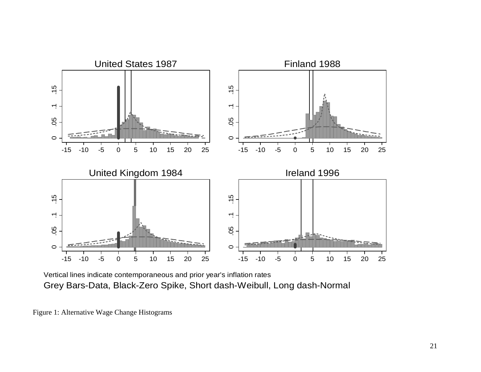

Vertical lines indicate contemporaneous and prior year's inflation rates Grey Bars-Data, Black-Zero Spike, Short dash-Weibull, Long dash-Normal

Figure 1: Alternative Wage Change Histograms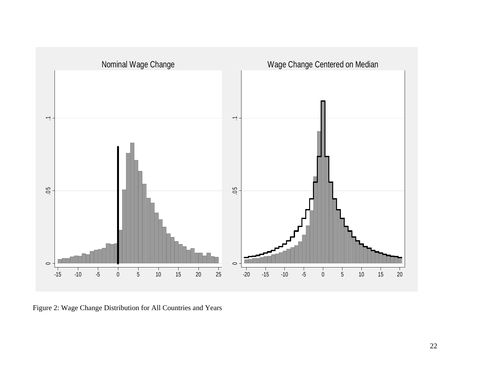

Figure 2: Wage Change Distribution for All Countries and Years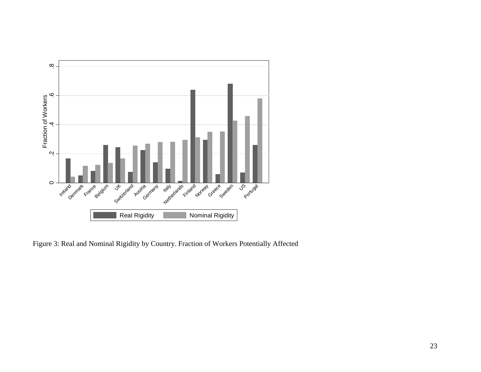

Figure 3: Real and Nominal Rigidity by Country. Fraction of Workers Potentially Affected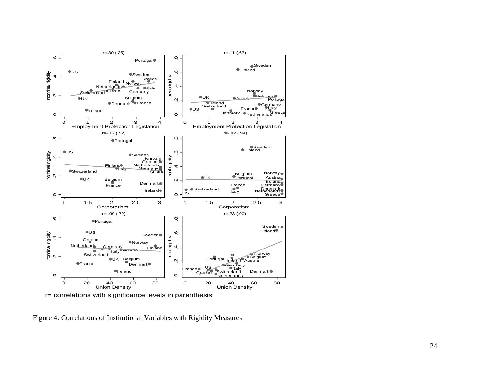

r= correlations with significance levels in parenthesis

Figure 4: Correlations of Institutional Variables with Rigidity Measures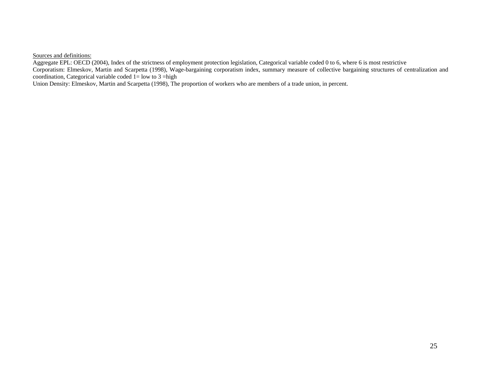Sources and definitions:

Aggregate EPL: OECD (2004), Index of the strictness of employment protection legislation, Categorical variable coded 0 to 6, where 6 is most restrictive Corporatism: Elmeskov, Martin and Scarpetta (1998), Wage-bargaining corporatism index, summary measure of collective bargaining structures of centralization and coordination, Categorical variable coded  $1=$  low to 3 =high

Union Density: Elmeskov, Martin and Scarpetta (1998), The proportion of workers who are members of a trade union, in percent.